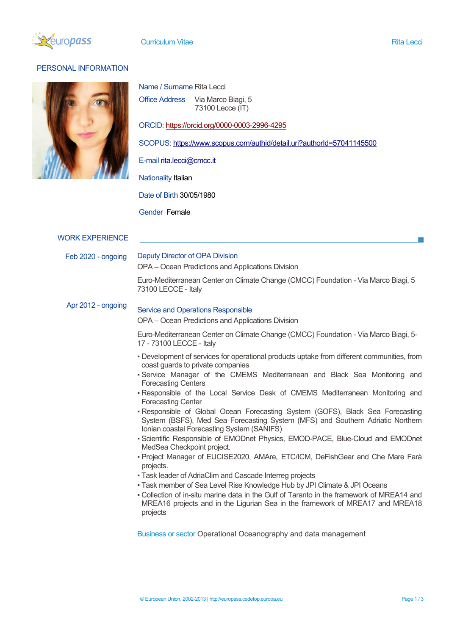

### **Curriculum Vitae Rita Lecci (Curriculum Vitae Rita Lecci et al. 1999)**

# PERSONAL INFORMATION



| Name / Surname Rita Lecci |                    |  |
|---------------------------|--------------------|--|
| Office Address            | Via Marco Biagi, 5 |  |
|                           | 73100 Lecce (IT)   |  |

ORCID: https://orcid.org/0000-0003-2996-4295

SCOPUS: https://www.scopus.com/authid/detail.uri?authorId=57041145500

E-mail rita.lecci@cmcc.it

# Nationality Italian

Date of Birth 30/05/1980

Gender Female

## WORK EXPERIENCE

Feb 2020 - ongoing Deputy Director of OPA Division

OPA – Ocean Predictions and Applications Division

Euro-Mediterranean Center on Climate Change (CMCC) Foundation - Via Marco Biagi, 5 73100 LECCE - Italy

#### Apr 2012 - ongoing Service and Operations Responsible

OPA – Ocean Predictions and Applications Division

Euro-Mediterranean Center on Climate Change (CMCC) Foundation - Via Marco Biagi, 5- 17 - 73100 LECCE - Italy

- Development of services for operational products uptake from different communities, from coast guards to private companies
- Service Manager of the CMEMS Mediterranean and Black Sea Monitoring and Forecasting Centers
- . Responsible of the Local Service Desk of CMEMS Mediterranean Monitoring and Forecasting Center
- Responsible of Global Ocean Forecasting System (GOFS), Black Sea Forecasting System (BSFS), Med Sea Forecasting System (MFS) and Southern Adriatic Northern Ionian coastal Forecasting System (SANIFS)
- Scientific Responsible of EMODnet Physics, EMOD-PACE, Blue-Cloud and EMODnet MedSea Checkpoint project.
- Project Manager of EUCISE2020, AMAre, ETC/ICM, DeFishGear and Che Mare Farà projects.
- Task leader of AdriaClim and Cascade Interreg projects
- **Task member of Sea Level Rise Knowledge Hub by JPI Climate & JPI Oceans** 
	- Collection of in-situ marine data in the Gulf of Taranto in the framework of MREA14 and MREA16 projects and in the Ligurian Sea in the framework of MREA17 and MREA18 projects

Business or sector Operational Oceanography and data management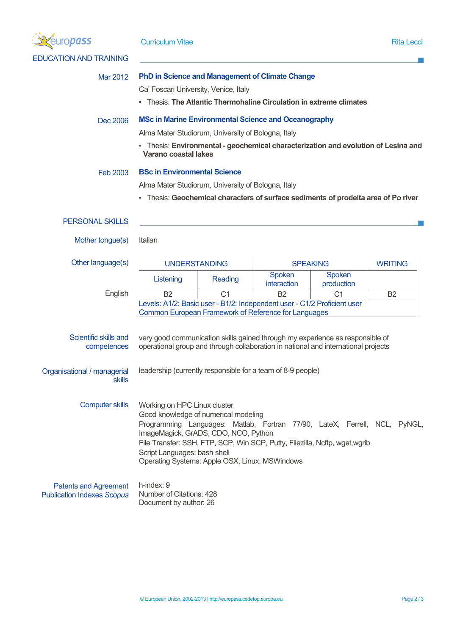| ropass                                                            | <b>Curriculum Vitae</b>                                                                                                                                                                                                                                                                                                                                   |                |                          | <b>Rita Lecci</b>            |           |  |
|-------------------------------------------------------------------|-----------------------------------------------------------------------------------------------------------------------------------------------------------------------------------------------------------------------------------------------------------------------------------------------------------------------------------------------------------|----------------|--------------------------|------------------------------|-----------|--|
| <b>EDUCATION AND TRAINING</b>                                     |                                                                                                                                                                                                                                                                                                                                                           |                |                          |                              |           |  |
| Mar 2012                                                          | <b>PhD in Science and Management of Climate Change</b><br>Ca' Foscari University, Venice, Italy<br>- Thesis: The Atlantic Thermohaline Circulation in extreme climates                                                                                                                                                                                    |                |                          |                              |           |  |
| Dec 2006                                                          | <b>MSc in Marine Environmental Science and Oceanography</b><br>Alma Mater Studiorum, University of Bologna, Italy<br>- Thesis: Environmental - geochemical characterization and evolution of Lesina and<br>Varano coastal lakes                                                                                                                           |                |                          |                              |           |  |
| Feb 2003                                                          | <b>BSc in Environmental Science</b><br>Alma Mater Studiorum, University of Bologna, Italy<br>- Thesis: Geochemical characters of surface sediments of prodelta area of Po river                                                                                                                                                                           |                |                          |                              |           |  |
| <b>PERSONAL SKILLS</b>                                            |                                                                                                                                                                                                                                                                                                                                                           |                |                          |                              |           |  |
| Mother tongue(s)                                                  | Italian                                                                                                                                                                                                                                                                                                                                                   |                |                          |                              |           |  |
| Other language(s)                                                 | <b>UNDERSTANDING</b><br><b>SPEAKING</b><br>Spoken<br>Spoken<br>Listening<br>Reading                                                                                                                                                                                                                                                                       |                |                          | <b>WRITING</b>               |           |  |
| English                                                           | <b>B2</b><br>Levels: A1/2: Basic user - B1/2: Independent user - C1/2 Proficient user<br>Common European Framework of Reference for Languages                                                                                                                                                                                                             | C <sub>1</sub> | interaction<br><b>B2</b> | production<br>C <sub>1</sub> | <b>B2</b> |  |
| Scientific skills and<br>competences                              | very good communication skills gained through my experience as responsible of<br>operational group and through collaboration in national and international projects                                                                                                                                                                                       |                |                          |                              |           |  |
| Organisational / managerial<br><b>skills</b>                      | leadership (currently responsible for a team of 8-9 people)                                                                                                                                                                                                                                                                                               |                |                          |                              |           |  |
| <b>Computer skills</b>                                            | Working on HPC Linux cluster<br>Good knowledge of numerical modeling<br>Programming Languages: Matlab, Fortran 77/90, LateX, Ferrell, NCL, PyNGL,<br>ImageMagick, GrADS, CDO, NCO, Python<br>File Transfer: SSH, FTP, SCP, Win SCP, Putty, Filezilla, Ncftp, wget,wgrib<br>Script Languages: bash shell<br>Operating Systems: Apple OSX, Linux, MSWindows |                |                          |                              |           |  |
| <b>Patents and Agreement</b><br><b>Publication Indexes Scopus</b> | h-index: 9<br>Number of Citations: 428<br>Document by author: 26                                                                                                                                                                                                                                                                                          |                |                          |                              |           |  |